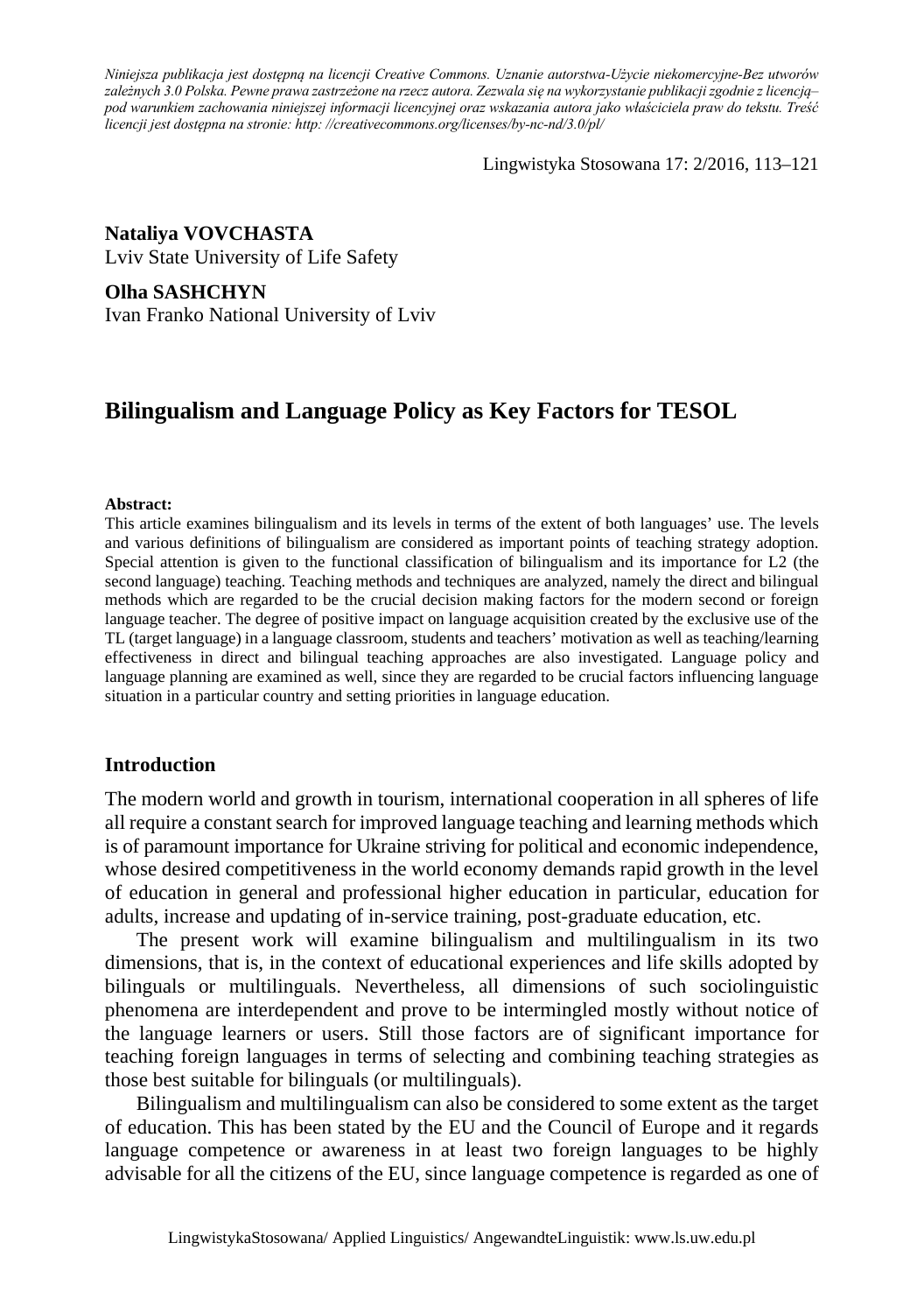*Niniejsza publikacja jest dostępną na licencji Creative Commons. Uznanie autorstwa-Użycie niekomercyjne-Bez utworów zależnych 3.0 Polska. Pewne prawa zastrzeżone na rzecz autora. Zezwala się na wykorzystanie publikacji zgodnie z licencją– pod warunkiem zachowania niniejszej informacji licencyjnej oraz wskazania autora jako właściciela praw do tekstu. Treść licencji jest dostępna na stronie: http: //creativecommons.org/licenses/by-nc-nd/3.0/pl/*

Lingwistyka Stosowana 17: 2/2016, 113–121

### **Nataliya VOVCHASTA**

Lviv State University of Life Safety

#### **Olha SASHCHYN**

Ivan Franko National University of Lviv

# **Bilingualism and Language Policy as Key Factors for TESOL**

#### **Abstract:**

This article examines bilingualism and its levels in terms of the extent of both languages' use. The levels and various definitions of bilingualism are considered as important points of teaching strategy adoption. Special attention is given to the functional classification of bilingualism and its importance for L2 (the second language) teaching. Teaching methods and techniques are analyzed, namely the direct and bilingual methods which are regarded to be the crucial decision making factors for the modern second or foreign language teacher. The degree of positive impact on language acquisition created by the exclusive use of the TL (target language) in a language classroom, students and teachers' motivation as well as teaching/learning effectiveness in direct and bilingual teaching approaches are also investigated. Language policy and language planning are examined as well, since they are regarded to be crucial factors influencing language situation in a particular country and setting priorities in language education.

### **Introduction**

The modern world and growth in tourism, international cooperation in all spheres of life all require a constant search for improved language teaching and learning methods which is of paramount importance for Ukraine striving for political and economic independence, whose desired competitiveness in the world economy demands rapid growth in the level of education in general and professional higher education in particular, education for adults, increase and updating of in-service training, post-graduate education, etc.

The present work will examine bilingualism and multilingualism in its two dimensions, that is, in the context of educational experiences and life skills adopted by bilinguals or multilinguals. Nevertheless, all dimensions of such sociolinguistic phenomena are interdependent and prove to be intermingled mostly without notice of the language learners or users. Still those factors are of significant importance for teaching foreign languages in terms of selecting and combining teaching strategies as those best suitable for bilinguals (or multilinguals).

Bilingualism and multilingualism can also be considered to some extent as the target of education. This has been stated by the EU and the Council of Europe and it regards language competence or awareness in at least two foreign languages to be highly advisable for all the citizens of the EU, since language competence is regarded as one of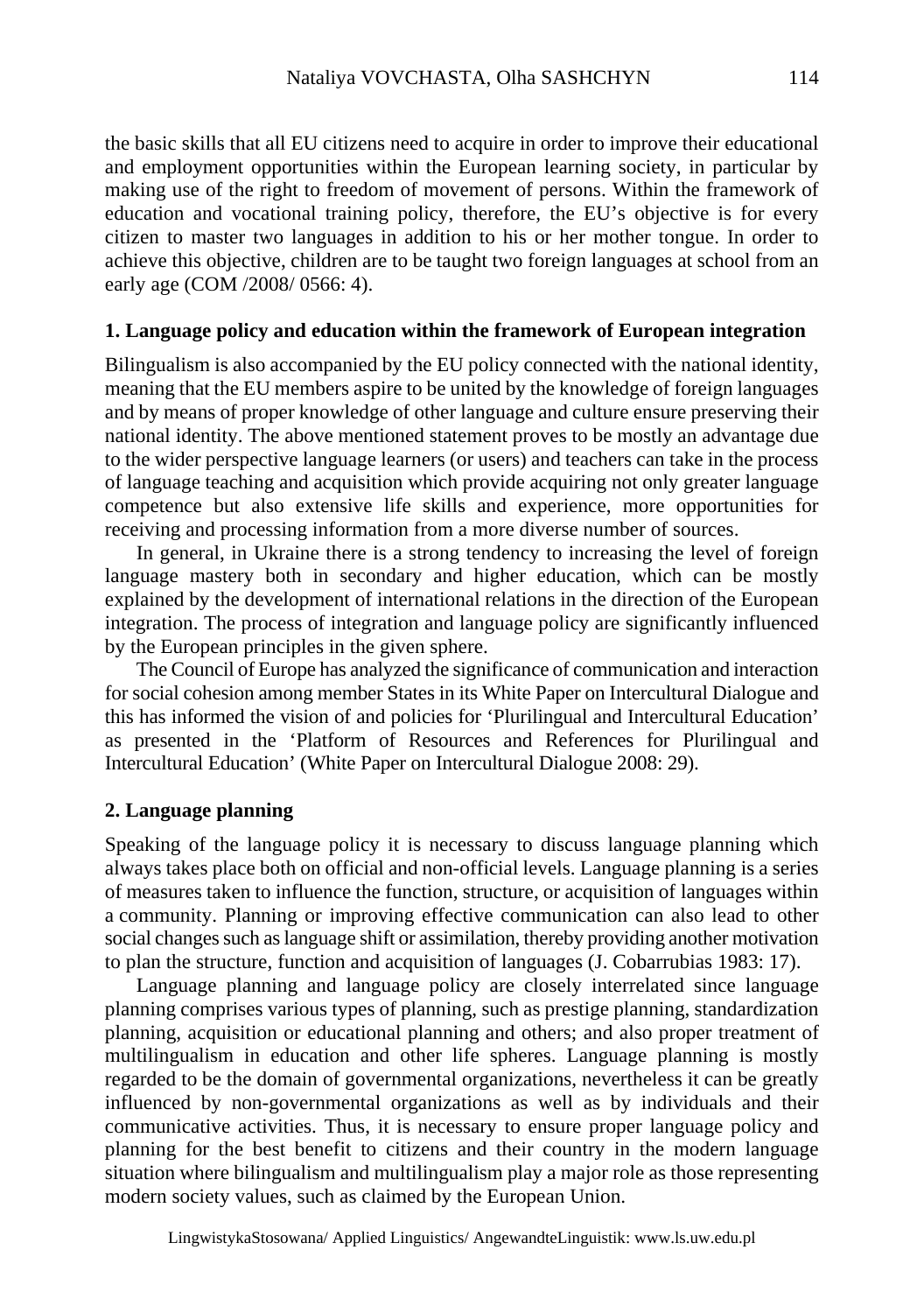the basic skills that all EU citizens need to acquire in order to improve their educational and employment opportunities within the European learning society, in particular by making use of the right to freedom of movement of persons. Within the framework of education and vocational training policy, therefore, the EU's objective is for every citizen to master two languages in addition to his or her mother tongue. In order to achieve this objective, children are to be taught two foreign languages at school from an early age (COM /2008/ 0566: 4).

### **1. Language policy and education within the framework of European integration**

Bilingualism is also accompanied by the EU policy connected with the national identity, meaning that the EU members aspire to be united by the knowledge of foreign languages and by means of proper knowledge of other language and culture ensure preserving their national identity. The above mentioned statement proves to be mostly an advantage due to the wider perspective language learners (or users) and teachers can take in the process of language teaching and acquisition which provide acquiring not only greater language competence but also extensive life skills and experience, more opportunities for receiving and processing information from a more diverse number of sources.

In general, in Ukraine there is a strong tendency to increasing the level of foreign language mastery both in secondary and higher education, which can be mostly explained by the development of international relations in the direction of the European integration. The process of integration and language policy are significantly influenced by the European principles in the given sphere.

The Council of Europe has analyzed the significance of communication and interaction for social cohesion among member States in its White Paper on Intercultural Dialogue and this has informed the vision of and policies for 'Plurilingual and Intercultural Education' as presented in the 'Platform of Resources and References for Plurilingual and Intercultural Education' (White Paper on Intercultural Dialogue 2008: 29).

### **2. Language planning**

Speaking of the language policy it is necessary to discuss language planning which always takes place both on official and non-official levels. Language planning is a series of measures taken to influence the function, structure, or acquisition of languages within a community. Planning or improving effective communication can also lead to other social changes such as language shift or assimilation, thereby providing another motivation to plan the structure, function and acquisition of languages (J. Cobarrubias 1983: 17).

Language planning and language policy are closely interrelated since language planning comprises various types of planning, such as prestige planning, standardization planning, acquisition or educational planning and others; and also proper treatment of multilingualism in education and other life spheres. Language planning is mostly regarded to be the domain of governmental organizations, nevertheless it can be greatly influenced by non-governmental organizations as well as by individuals and their communicative activities. Thus, it is necessary to ensure proper language policy and planning for the best benefit to citizens and their country in the modern language situation where bilingualism and multilingualism play a major role as those representing modern society values, such as claimed by the European Union.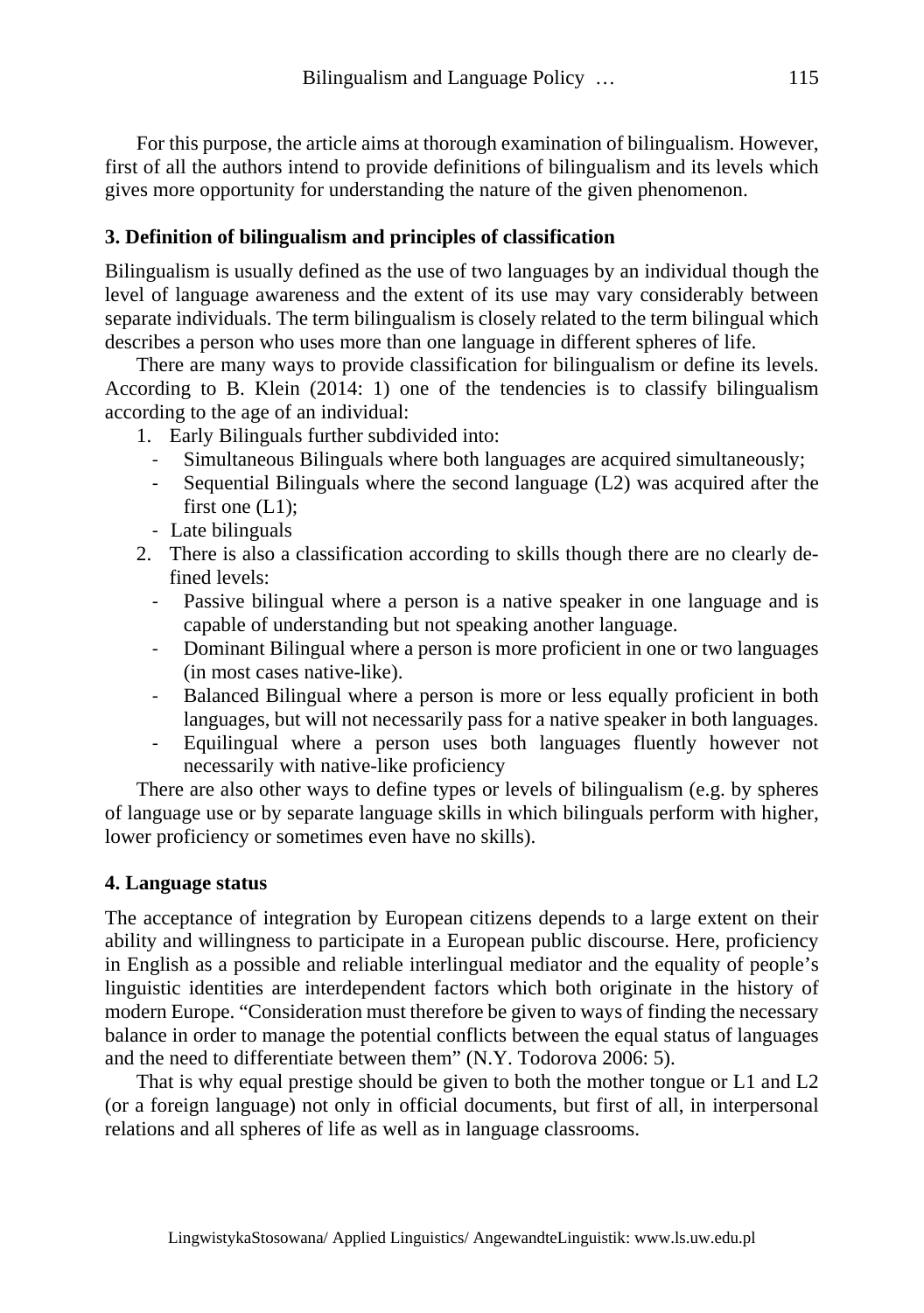For this purpose, the article aims at thorough examination of bilingualism. However, first of all the authors intend to provide definitions of bilingualism and its levels which gives more opportunity for understanding the nature of the given phenomenon.

# **3. Definition of bilingualism and principles of classification**

Bilingualism is usually defined as the use of two languages by an individual though the level of language awareness and the extent of its use may vary considerably between separate individuals. The term bilingualism is closely related to the term bilingual which describes a person who uses more than one language in different spheres of life.

There are many ways to provide classification for bilingualism or define its levels. According to B. Klein (2014: 1) one of the tendencies is to classify bilingualism according to the age of an individual:

1. Early Bilinguals further subdivided into:

- ‐ Simultaneous Bilinguals where both languages are acquired simultaneously;
- ‐ Sequential Bilinguals where the second language (L2) was acquired after the first one  $(L1)$ ;
- ‐ Late bilinguals
- 2. There is also a classification according to skills though there are no clearly defined levels:
	- ‐ Passive bilingual where a person is a native speaker in one language and is capable of understanding but not speaking another language.
	- ‐ Dominant Bilingual where a person is more proficient in one or two languages (in most cases native-like).
	- ‐ Balanced Bilingual where a person is more or less equally proficient in both languages, but will not necessarily pass for a native speaker in both languages.
	- ‐ Equilingual where a person uses both languages fluently however not necessarily with native-like proficiency

There are also other ways to define types or levels of bilingualism (e.g. by spheres of language use or by separate language skills in which bilinguals perform with higher, lower proficiency or sometimes even have no skills).

# **4. Language status**

The acceptance of integration by European citizens depends to a large extent on their ability and willingness to participate in a European public discourse. Here, proficiency in English as a possible and reliable interlingual mediator and the equality of people's linguistic identities are interdependent factors which both originate in the history of modern Europe. "Consideration must therefore be given to ways of finding the necessary balance in order to manage the potential conflicts between the equal status of languages and the need to differentiate between them" (N.Y. Todorova 2006: 5).

That is why equal prestige should be given to both the mother tongue or L1 and L2 (or a foreign language) not only in official documents, but first of all, in interpersonal relations and all spheres of life as well as in language classrooms.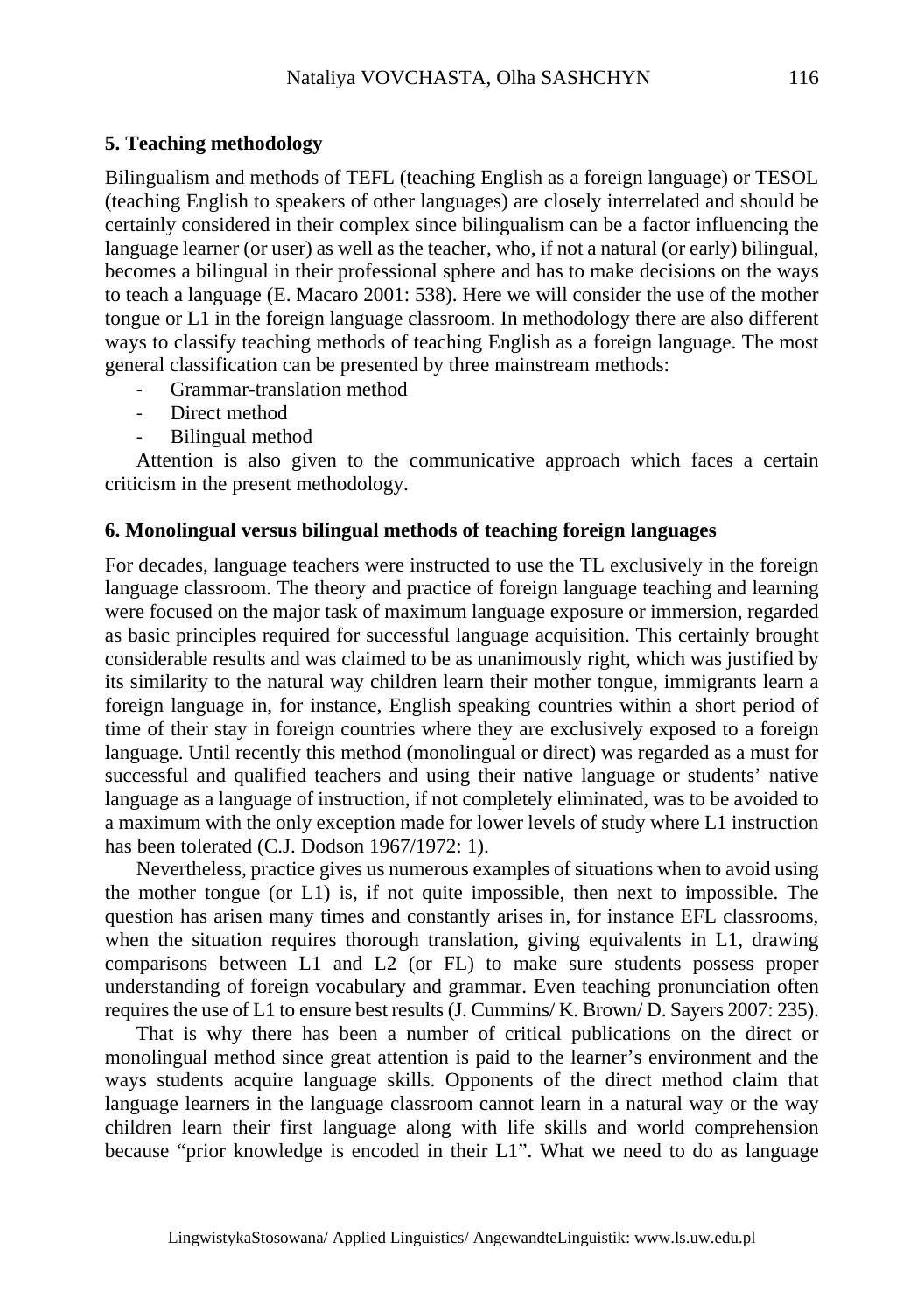### **5. Teaching methodology**

Bilingualism and methods of TEFL (teaching English as a foreign language) or TESOL (teaching English to speakers of other languages) are closely interrelated and should be certainly considered in their complex since bilingualism can be a factor influencing the language learner (or user) as well as the teacher, who, if not a natural (or early) bilingual, becomes a bilingual in their professional sphere and has to make decisions on the ways to teach a language (E. Macaro 2001: 538). Here we will consider the use of the mother tongue or L1 in the foreign language classroom. In methodology there are also different ways to classify teaching methods of teaching English as a foreign language. The most general classification can be presented by three mainstream methods:

- ‐ Grammar-translation method
- Direct method
- ‐ Bilingual method

Attention is also given to the communicative approach which faces a certain criticism in the present methodology.

### **6. Monolingual versus bilingual methods of teaching foreign languages**

For decades, language teachers were instructed to use the TL exclusively in the foreign language classroom. The theory and practice of foreign language teaching and learning were focused on the major task of maximum language exposure or immersion, regarded as basic principles required for successful language acquisition. This certainly brought considerable results and was claimed to be as unanimously right, which was justified by its similarity to the natural way children learn their mother tongue, immigrants learn a foreign language in, for instance, English speaking countries within a short period of time of their stay in foreign countries where they are exclusively exposed to a foreign language. Until recently this method (monolingual or direct) was regarded as a must for successful and qualified teachers and using their native language or students' native language as a language of instruction, if not completely eliminated, was to be avoided to a maximum with the only exception made for lower levels of study where L1 instruction has been tolerated (C.J. Dodson 1967/1972: 1).

Nevertheless, practice gives us numerous examples of situations when to avoid using the mother tongue (or L1) is, if not quite impossible, then next to impossible. The question has arisen many times and constantly arises in, for instance EFL classrooms, when the situation requires thorough translation, giving equivalents in L1, drawing comparisons between L1 and L2 (or FL) to make sure students possess proper understanding of foreign vocabulary and grammar. Even teaching pronunciation often requires the use of L1 to ensure best results (J. Cummins/ K. Brown/ D. Sayers 2007: 235).

That is why there has been a number of critical publications on the direct or monolingual method since great attention is paid to the learner's environment and the ways students acquire language skills. Opponents of the direct method claim that language learners in the language classroom cannot learn in a natural way or the way children learn their first language along with life skills and world comprehension because "prior knowledge is encoded in their L1". What we need to do as language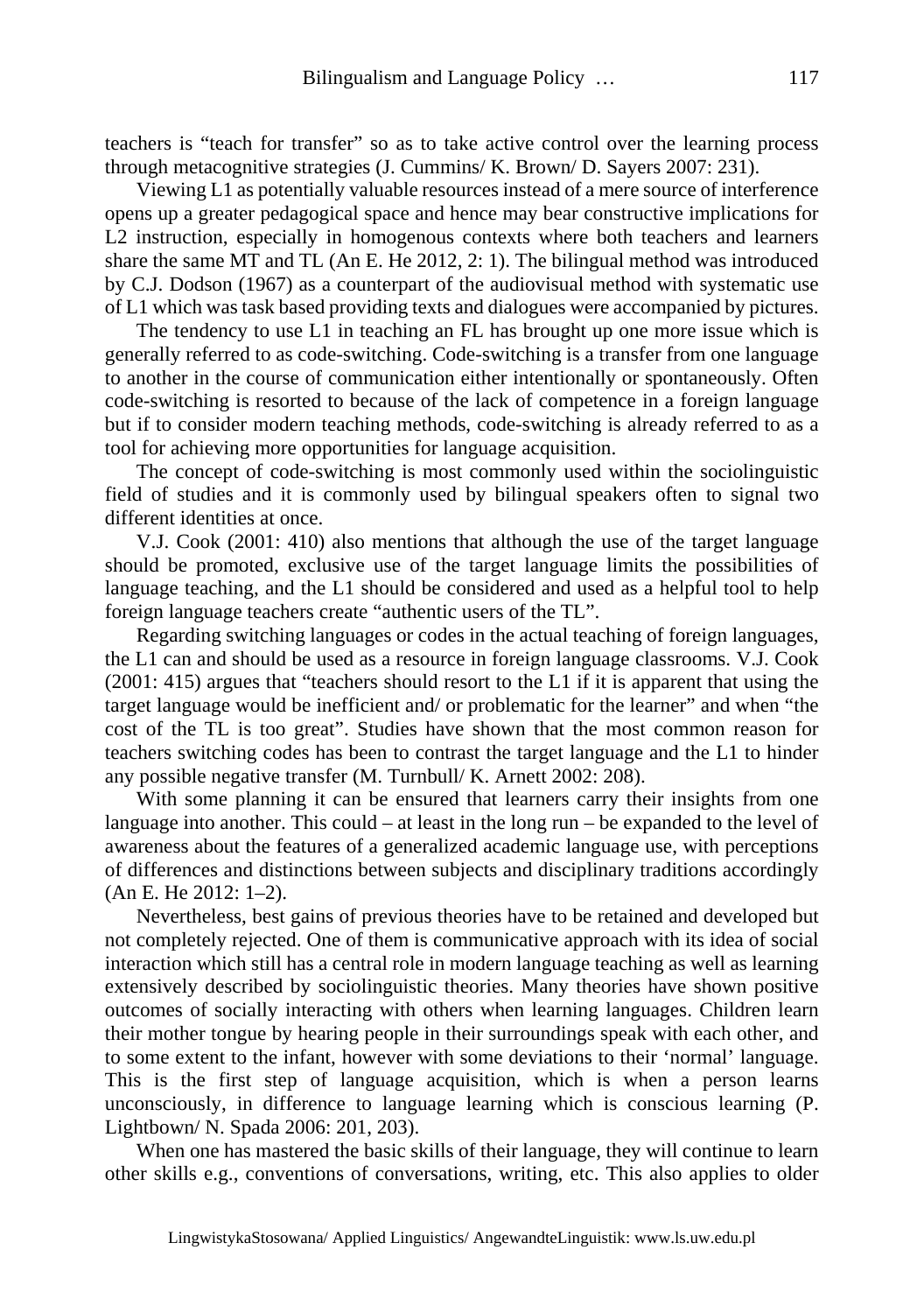teachers is "teach for transfer" so as to take active control over the learning process through metacognitive strategies (J. Cummins/ K. Brown/ D. Sayers 2007: 231).

Viewing L1 as potentially valuable resources instead of a mere source of interference opens up a greater pedagogical space and hence may bear constructive implications for L2 instruction, especially in homogenous contexts where both teachers and learners share the same MT and TL (An E. He 2012, 2: 1). The bilingual method was introduced by C.J. Dodson (1967) as a counterpart of the audiovisual method with systematic use of L1 which was task based providing texts and dialogues were accompanied by pictures.

The tendency to use L1 in teaching an FL has brought up one more issue which is generally referred to as code-switching. Code-switching is a transfer from one language to another in the course of communication either intentionally or spontaneously. Often code-switching is resorted to because of the lack of competence in a foreign language but if to consider modern teaching methods, code-switching is already referred to as a tool for achieving more opportunities for language acquisition.

The concept of code-switching is most commonly used within the sociolinguistic field of studies and it is commonly used by bilingual speakers often to signal two different identities at once.

V.J. Cook (2001: 410) also mentions that although the use of the target language should be promoted, exclusive use of the target language limits the possibilities of language teaching, and the L1 should be considered and used as a helpful tool to help foreign language teachers create "authentic users of the TL".

Regarding switching languages or codes in the actual teaching of foreign languages, the L1 can and should be used as a resource in foreign language classrooms. V.J. Cook (2001: 415) argues that "teachers should resort to the L1 if it is apparent that using the target language would be inefficient and/ or problematic for the learner" and when "the cost of the TL is too great". Studies have shown that the most common reason for teachers switching codes has been to contrast the target language and the L1 to hinder any possible negative transfer (M. Turnbull/ K. Arnett 2002: 208).

With some planning it can be ensured that learners carry their insights from one language into another. This could – at least in the long run – be expanded to the level of awareness about the features of a generalized academic language use, with perceptions of differences and distinctions between subjects and disciplinary traditions accordingly (An E. He 2012: 1–2).

Nevertheless, best gains of previous theories have to be retained and developed but not completely rejected. One of them is communicative approach with its idea of social interaction which still has a central role in modern language teaching as well as learning extensively described by sociolinguistic theories. Many theories have shown positive outcomes of socially interacting with others when learning languages. Children learn their mother tongue by hearing people in their surroundings speak with each other, and to some extent to the infant, however with some deviations to their 'normal' language. This is the first step of language acquisition, which is when a person learns unconsciously, in difference to language learning which is conscious learning (P. Lightbown/ N. Spada 2006: 201, 203).

When one has mastered the basic skills of their language, they will continue to learn other skills e.g., conventions of conversations, writing, etc. This also applies to older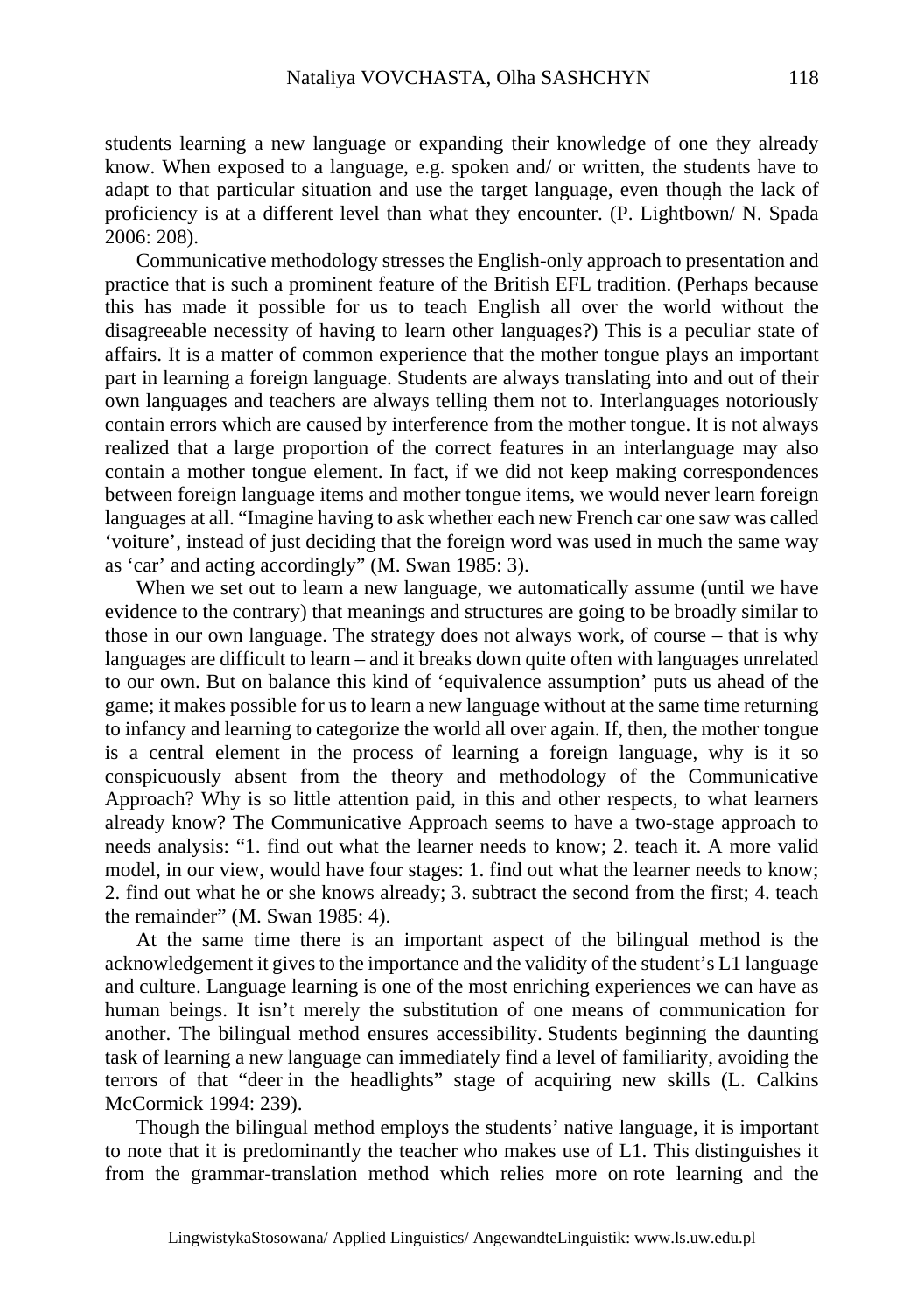students learning a new language or expanding their knowledge of one they already know. When exposed to a language, e.g. spoken and/ or written, the students have to adapt to that particular situation and use the target language, even though the lack of proficiency is at a different level than what they encounter. (P. Lightbown/ N. Spada 2006: 208).

Communicative methodology stresses the English-only approach to presentation and practice that is such a prominent feature of the British EFL tradition. (Perhaps because this has made it possible for us to teach English all over the world without the disagreeable necessity of having to learn other languages?) This is a peculiar state of affairs. It is a matter of common experience that the mother tongue plays an important part in learning a foreign language. Students are always translating into and out of their own languages and teachers are always telling them not to. Interlanguages notoriously contain errors which are caused by interference from the mother tongue. It is not always realized that a large proportion of the correct features in an interlanguage may also contain a mother tongue element. In fact, if we did not keep making correspondences between foreign language items and mother tongue items, we would never learn foreign languages at all. "Imagine having to ask whether each new French car one saw was called 'voiture', instead of just deciding that the foreign word was used in much the same way as 'car' and acting accordingly" (M. Swan 1985: 3).

When we set out to learn a new language, we automatically assume (until we have evidence to the contrary) that meanings and structures are going to be broadly similar to those in our own language. The strategy does not always work, of course – that is why languages are difficult to learn – and it breaks down quite often with languages unrelated to our own. But on balance this kind of 'equivalence assumption' puts us ahead of the game; it makes possible for us to learn a new language without at the same time returning to infancy and learning to categorize the world all over again. If, then, the mother tongue is a central element in the process of learning a foreign language, why is it so conspicuously absent from the theory and methodology of the Communicative Approach? Why is so little attention paid, in this and other respects, to what learners already know? The Communicative Approach seems to have a two-stage approach to needs analysis: "1. find out what the learner needs to know; 2. teach it. A more valid model, in our view, would have four stages: 1. find out what the learner needs to know; 2. find out what he or she knows already; 3. subtract the second from the first; 4. teach the remainder" (M. Swan 1985: 4).

At the same time there is an important aspect of the bilingual method is the acknowledgement it gives to the importance and the validity of the student's L1 language and culture. Language learning is one of the most enriching experiences we can have as human beings. It isn't merely the substitution of one means of communication for another. The bilingual method ensures accessibility. Students beginning the daunting task of learning a new language can immediately find a level of familiarity, avoiding the terrors of that "deer in the headlights" stage of acquiring new skills (L. Calkins McCormick 1994: 239).

Though the bilingual method employs the students' native language, it is important to note that it is predominantly the teacher who makes use of L1. This distinguishes it from the grammar-translation method which relies more on rote learning and the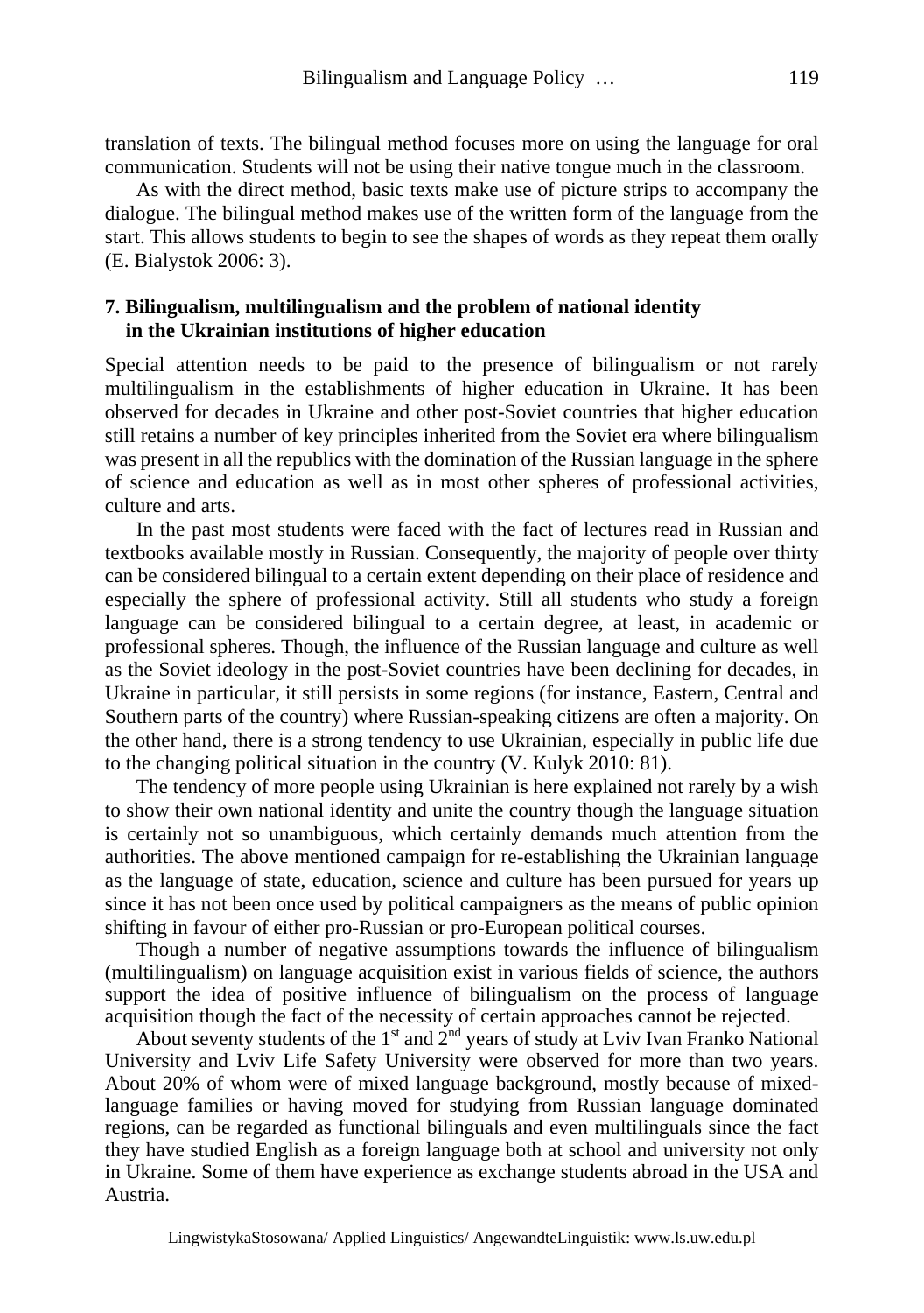translation of texts. The bilingual method focuses more on using the language for oral communication. Students will not be using their native tongue much in the classroom.

As with the direct method, basic texts make use of picture strips to accompany the dialogue. The bilingual method makes use of the written form of the language from the start. This allows students to begin to see the shapes of words as they repeat them orally (E. Bialystok 2006: 3).

### **7. Bilingualism, multilingualism and the problem of national identity in the Ukrainian institutions of higher education**

Special attention needs to be paid to the presence of bilingualism or not rarely multilingualism in the establishments of higher education in Ukraine. It has been observed for decades in Ukraine and other post-Soviet countries that higher education still retains a number of key principles inherited from the Soviet era where bilingualism was present in all the republics with the domination of the Russian language in the sphere of science and education as well as in most other spheres of professional activities, culture and arts.

In the past most students were faced with the fact of lectures read in Russian and textbooks available mostly in Russian. Consequently, the majority of people over thirty can be considered bilingual to a certain extent depending on their place of residence and especially the sphere of professional activity. Still all students who study a foreign language can be considered bilingual to a certain degree, at least, in academic or professional spheres. Though, the influence of the Russian language and culture as well as the Soviet ideology in the post-Soviet countries have been declining for decades, in Ukraine in particular, it still persists in some regions (for instance, Eastern, Central and Southern parts of the country) where Russian-speaking citizens are often a majority. On the other hand, there is a strong tendency to use Ukrainian, especially in public life due to the changing political situation in the country (V. Kulyk 2010: 81).

The tendency of more people using Ukrainian is here explained not rarely by a wish to show their own national identity and unite the country though the language situation is certainly not so unambiguous, which certainly demands much attention from the authorities. The above mentioned campaign for re-establishing the Ukrainian language as the language of state, education, science and culture has been pursued for years up since it has not been once used by political campaigners as the means of public opinion shifting in favour of either pro-Russian or pro-European political courses.

Though a number of negative assumptions towards the influence of bilingualism (multilingualism) on language acquisition exist in various fields of science, the authors support the idea of positive influence of bilingualism on the process of language acquisition though the fact of the necessity of certain approaches cannot be rejected.

About seventy students of the  $1<sup>st</sup>$  and  $2<sup>nd</sup>$  years of study at Lviv Ivan Franko National University and Lviv Life Safety University were observed for more than two years. About 20% of whom were of mixed language background, mostly because of mixedlanguage families or having moved for studying from Russian language dominated regions, can be regarded as functional bilinguals and even multilinguals since the fact they have studied English as a foreign language both at school and university not only in Ukraine. Some of them have experience as exchange students abroad in the USA and Austria.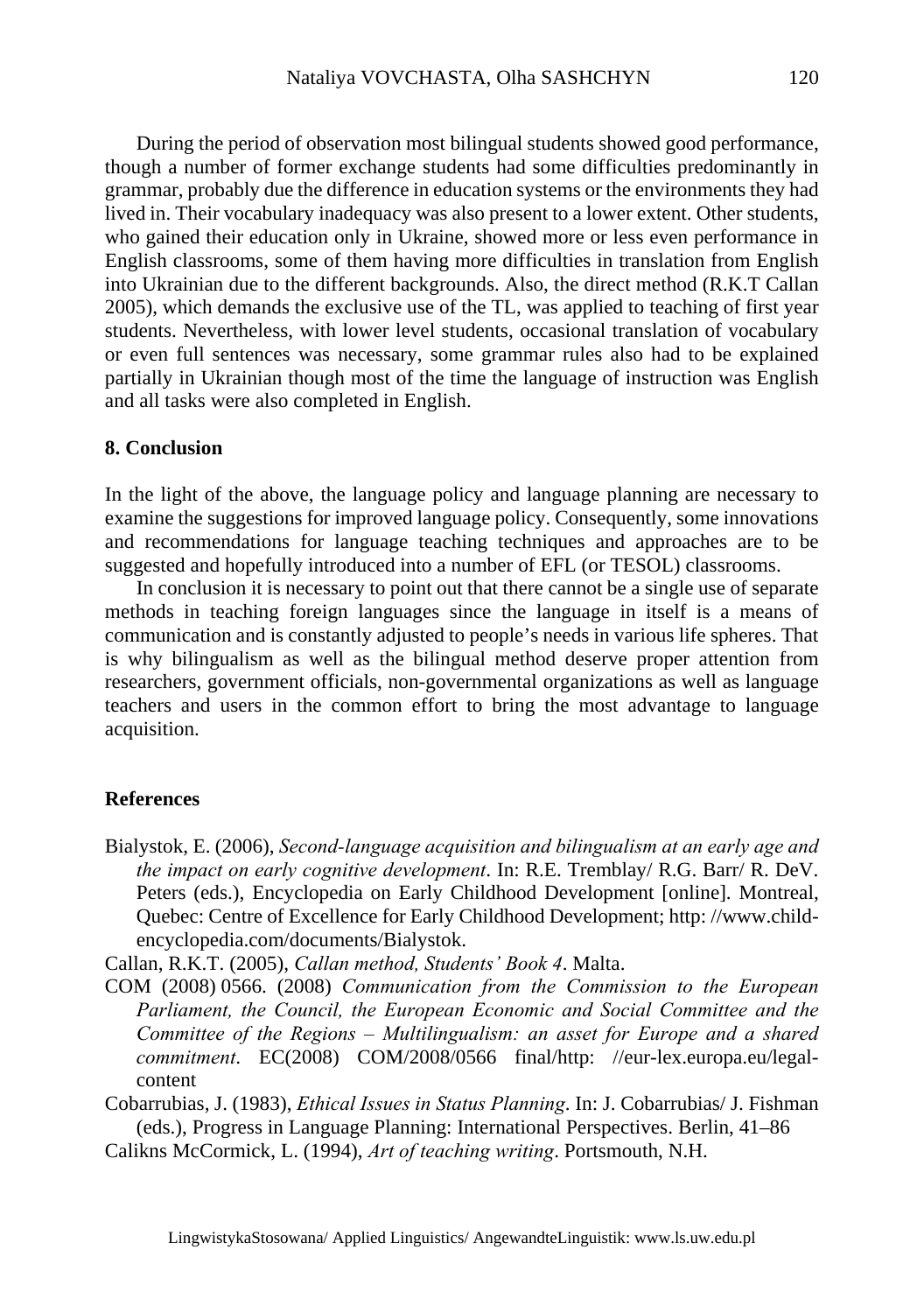During the period of observation most bilingual students showed good performance, though a number of former exchange students had some difficulties predominantly in grammar, probably due the difference in education systems or the environments they had lived in. Their vocabulary inadequacy was also present to a lower extent. Other students, who gained their education only in Ukraine, showed more or less even performance in English classrooms, some of them having more difficulties in translation from English into Ukrainian due to the different backgrounds. Also, the direct method (R.K.T Callan 2005), which demands the exclusive use of the TL, was applied to teaching of first year students. Nevertheless, with lower level students, occasional translation of vocabulary or even full sentences was necessary, some grammar rules also had to be explained partially in Ukrainian though most of the time the language of instruction was English and all tasks were also completed in English.

### **8. Conclusion**

In the light of the above, the language policy and language planning are necessary to examine the suggestions for improved language policy. Consequently, some innovations and recommendations for language teaching techniques and approaches are to be suggested and hopefully introduced into a number of EFL (or TESOL) classrooms.

In conclusion it is necessary to point out that there cannot be a single use of separate methods in teaching foreign languages since the language in itself is a means of communication and is constantly adjusted to people's needs in various life spheres. That is why bilingualism as well as the bilingual method deserve proper attention from researchers, government officials, non-governmental organizations as well as language teachers and users in the common effort to bring the most advantage to language acquisition.

### **References**

Bialystok, E. (2006), *Second-language acquisition and bilingualism at an early age and the impact on early cognitive development*. In: R.E. Tremblay/ R.G. Barr/ R. DeV. Peters (eds.), Encyclopedia on Early Childhood Development [online]. Montreal, Quebec: Centre of Excellence for Early Childhood Development; http: //www.childencyclopedia.com/documents/Bialystok.

Callan, R.K.T. (2005), *Callan method, Students' Book 4*. Malta.

COM (2008) 0566. (2008) *Communication from the Commission to the European Parliament, the Council, the European Economic and Social Committee and the Committee of the Regions – Multilingualism: an asset for Europe and a shared commitment*. EC(2008) COM/2008/0566 final/http: //eur-lex.europa.eu/legalcontent

Cobarrubias, J. (1983), *Ethical Issues in Status Planning*. In: J. Cobarrubias/ J. Fishman (eds.), Progress in Language Planning: International Perspectives. Berlin, 41–86

Calikns McCormick, L. (1994), *Art of teaching writing*. Portsmouth, N.H.